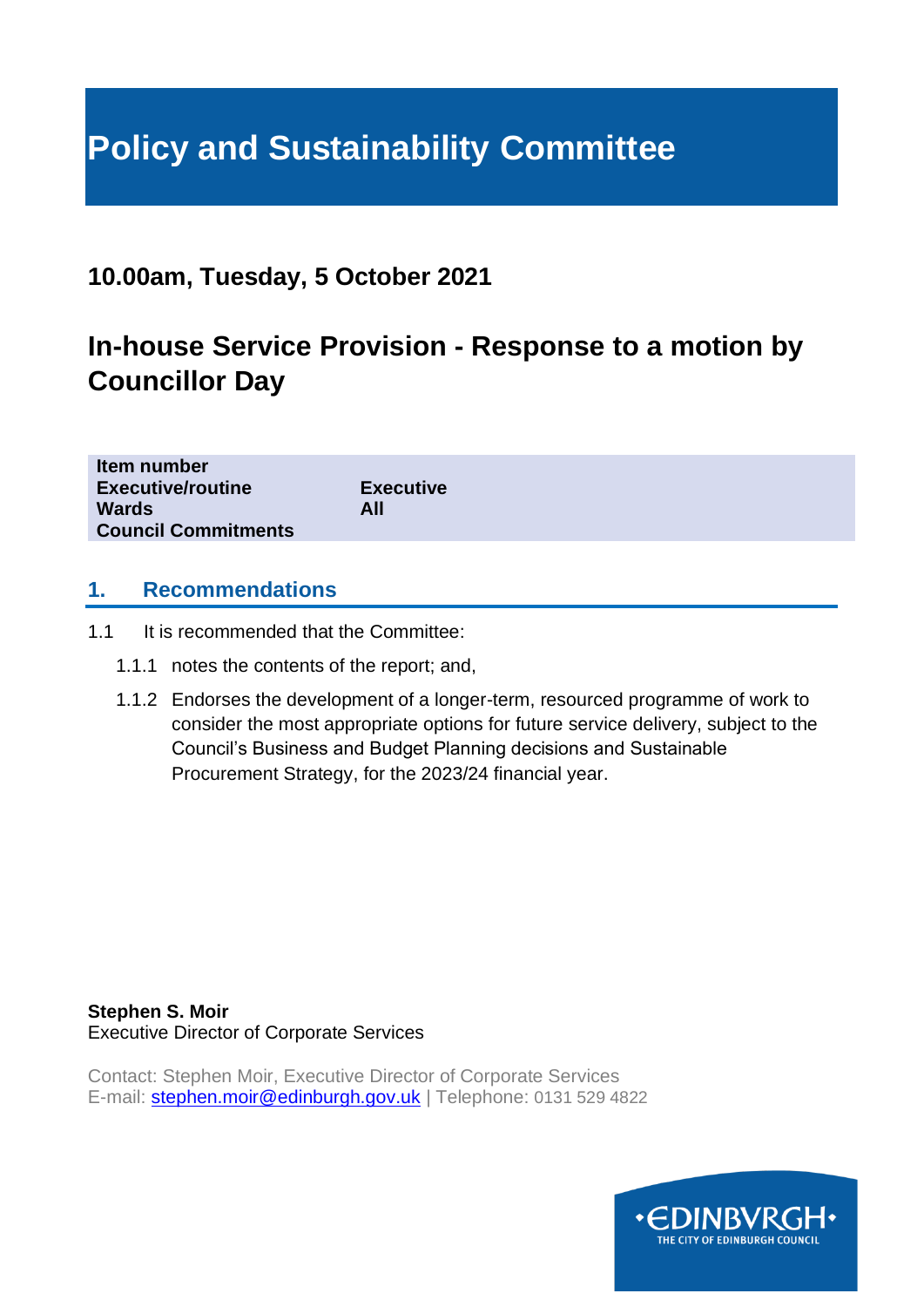# **Policy and Sustainability Committee**

## **10.00am, Tuesday, 5 October 2021**

# **In-house Service Provision - Response to a motion by Councillor Day**

| Item number                |                  |
|----------------------------|------------------|
| <b>Executive/routine</b>   | <b>Executive</b> |
| <b>Wards</b>               | All              |
| <b>Council Commitments</b> |                  |
|                            |                  |

#### **1. Recommendations**

- 1.1 It is recommended that the Committee:
	- 1.1.1 notes the contents of the report; and,
	- 1.1.2 Endorses the development of a longer-term, resourced programme of work to consider the most appropriate options for future service delivery, subject to the Council's Business and Budget Planning decisions and Sustainable Procurement Strategy, for the 2023/24 financial year.

**Stephen S. Moir** Executive Director of Corporate Services

Contact: Stephen Moir, Executive Director of Corporate Services E-mail: [stephen.moir@edinburgh.gov.uk](mailto:stephen.moir@edinburgh.gov.uk) | Telephone: 0131 529 4822

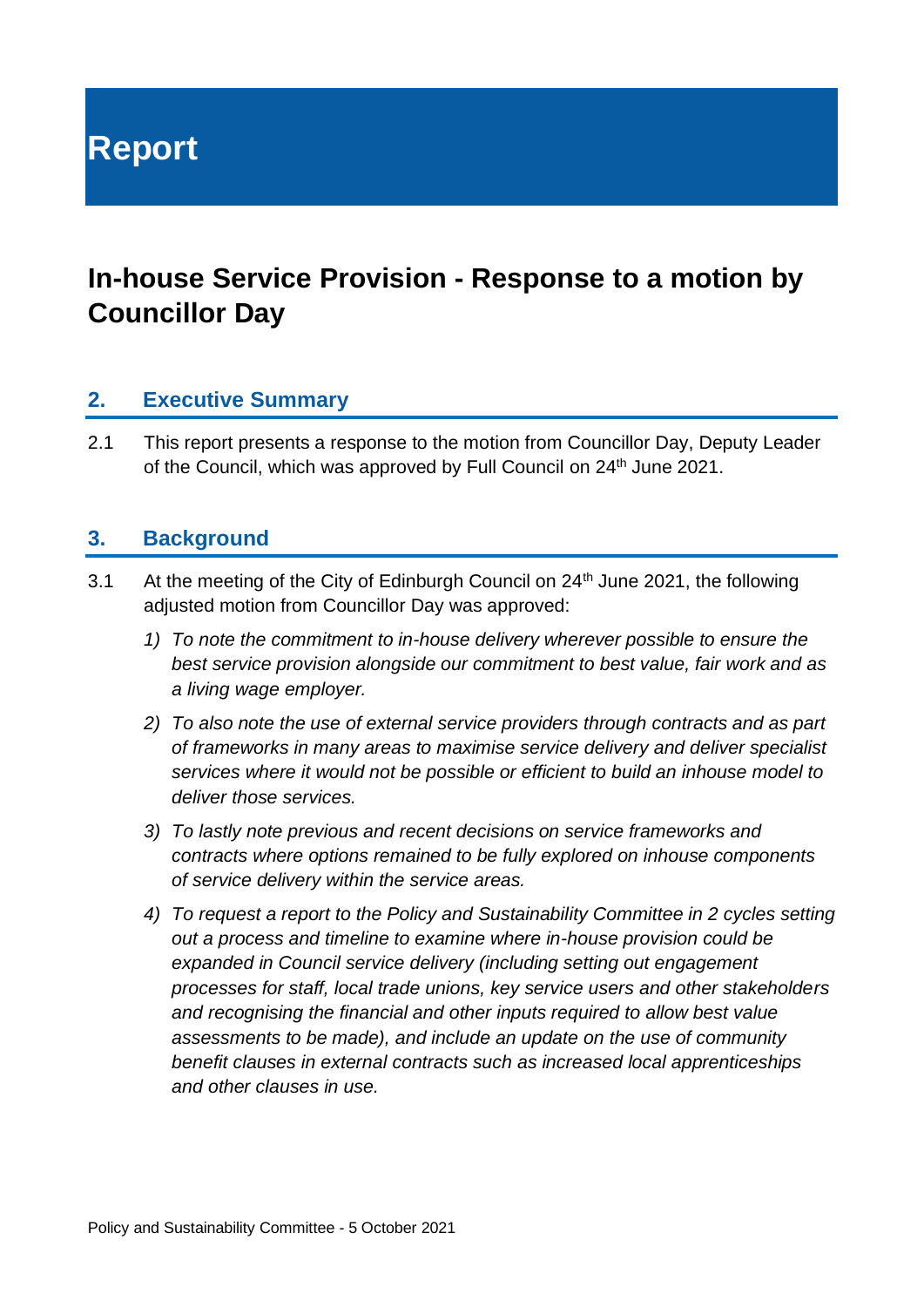**Report**

# **In-house Service Provision - Response to a motion by Councillor Day**

#### **2. Executive Summary**

2.1 This report presents a response to the motion from Councillor Day, Deputy Leader of the Council, which was approved by Full Council on 24<sup>th</sup> June 2021.

### **3. Background**

- 3.1 At the meeting of the City of Edinburgh Council on  $24<sup>th</sup>$  June 2021, the following adjusted motion from Councillor Day was approved:
	- *1) To note the commitment to in-house delivery wherever possible to ensure the best service provision alongside our commitment to best value, fair work and as a living wage employer.*
	- *2) To also note the use of external service providers through contracts and as part of frameworks in many areas to maximise service delivery and deliver specialist services where it would not be possible or efficient to build an inhouse model to deliver those services.*
	- *3) To lastly note previous and recent decisions on service frameworks and contracts where options remained to be fully explored on inhouse components of service delivery within the service areas.*
	- *4) To request a report to the Policy and Sustainability Committee in 2 cycles setting out a process and timeline to examine where in-house provision could be expanded in Council service delivery (including setting out engagement processes for staff, local trade unions, key service users and other stakeholders and recognising the financial and other inputs required to allow best value assessments to be made), and include an update on the use of community benefit clauses in external contracts such as increased local apprenticeships and other clauses in use.*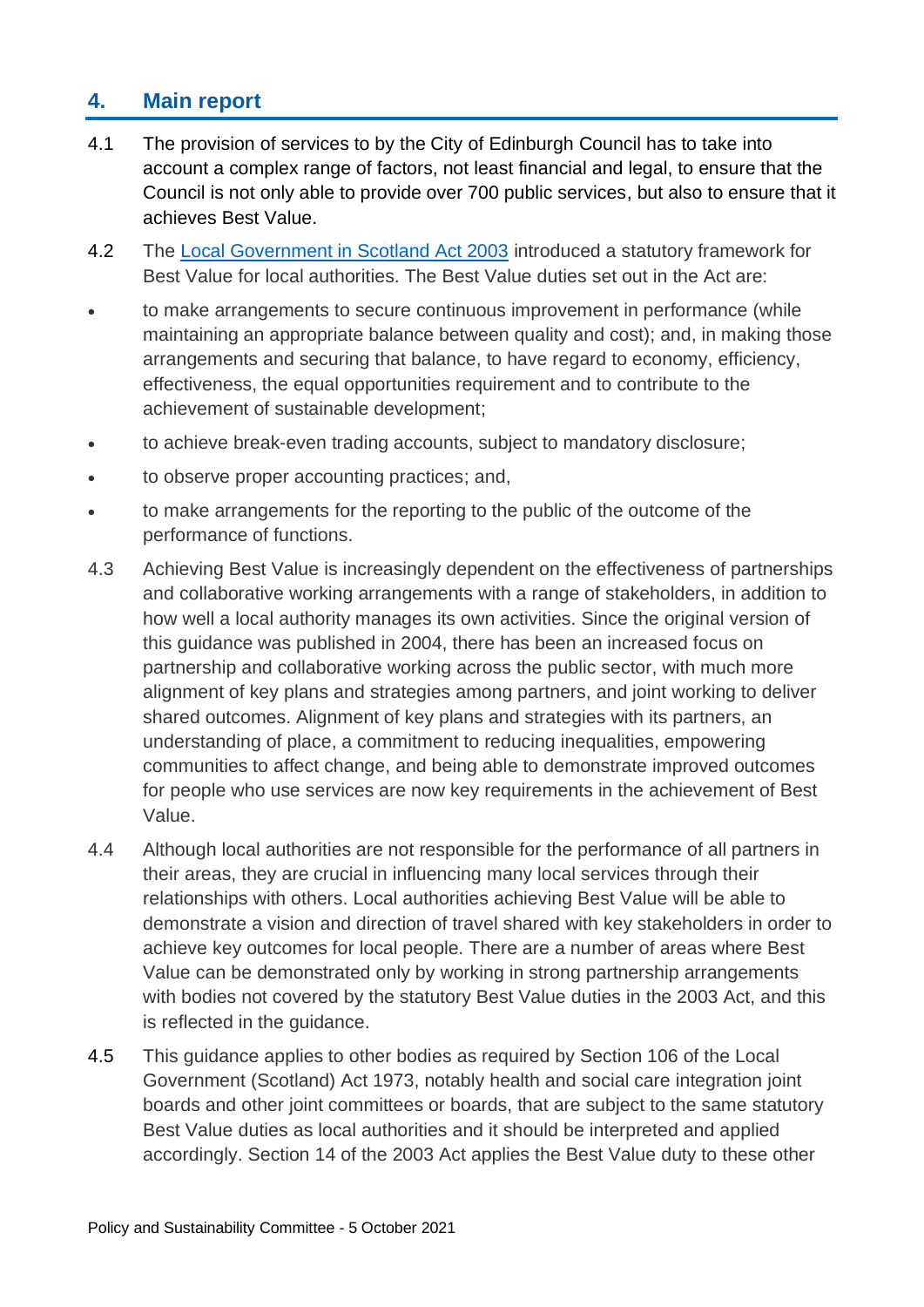#### **4. Main report**

- 4.1 The provision of services to by the City of Edinburgh Council has to take into account a complex range of factors, not least financial and legal, to ensure that the Council is not only able to provide over 700 public services, but also to ensure that it achieves Best Value.
- 4.2 The [Local Government in Scotland Act 2003](http://www.legislation.gov.uk/asp/2003/1/contents) introduced a statutory framework for Best Value for local authorities. The Best Value duties set out in the Act are:
- to make arrangements to secure continuous improvement in performance (while maintaining an appropriate balance between quality and cost); and, in making those arrangements and securing that balance, to have regard to economy, efficiency, effectiveness, the equal opportunities requirement and to contribute to the achievement of sustainable development;
- to achieve break-even trading accounts, subject to mandatory disclosure;
- to observe proper accounting practices; and,
- to make arrangements for the reporting to the public of the outcome of the performance of functions.
- 4.3 Achieving Best Value is increasingly dependent on the effectiveness of partnerships and collaborative working arrangements with a range of stakeholders, in addition to how well a local authority manages its own activities. Since the original version of this guidance was published in 2004, there has been an increased focus on partnership and collaborative working across the public sector, with much more alignment of key plans and strategies among partners, and joint working to deliver shared outcomes. Alignment of key plans and strategies with its partners, an understanding of place, a commitment to reducing inequalities, empowering communities to affect change, and being able to demonstrate improved outcomes for people who use services are now key requirements in the achievement of Best Value.
- 4.4 Although local authorities are not responsible for the performance of all partners in their areas, they are crucial in influencing many local services through their relationships with others. Local authorities achieving Best Value will be able to demonstrate a vision and direction of travel shared with key stakeholders in order to achieve key outcomes for local people. There are a number of areas where Best Value can be demonstrated only by working in strong partnership arrangements with bodies not covered by the statutory Best Value duties in the 2003 Act, and this is reflected in the guidance.
- 4.5 This guidance applies to other bodies as required by Section 106 of the Local Government (Scotland) Act 1973, notably health and social care integration joint boards and other joint committees or boards, that are subject to the same statutory Best Value duties as local authorities and it should be interpreted and applied accordingly. Section 14 of the 2003 Act applies the Best Value duty to these other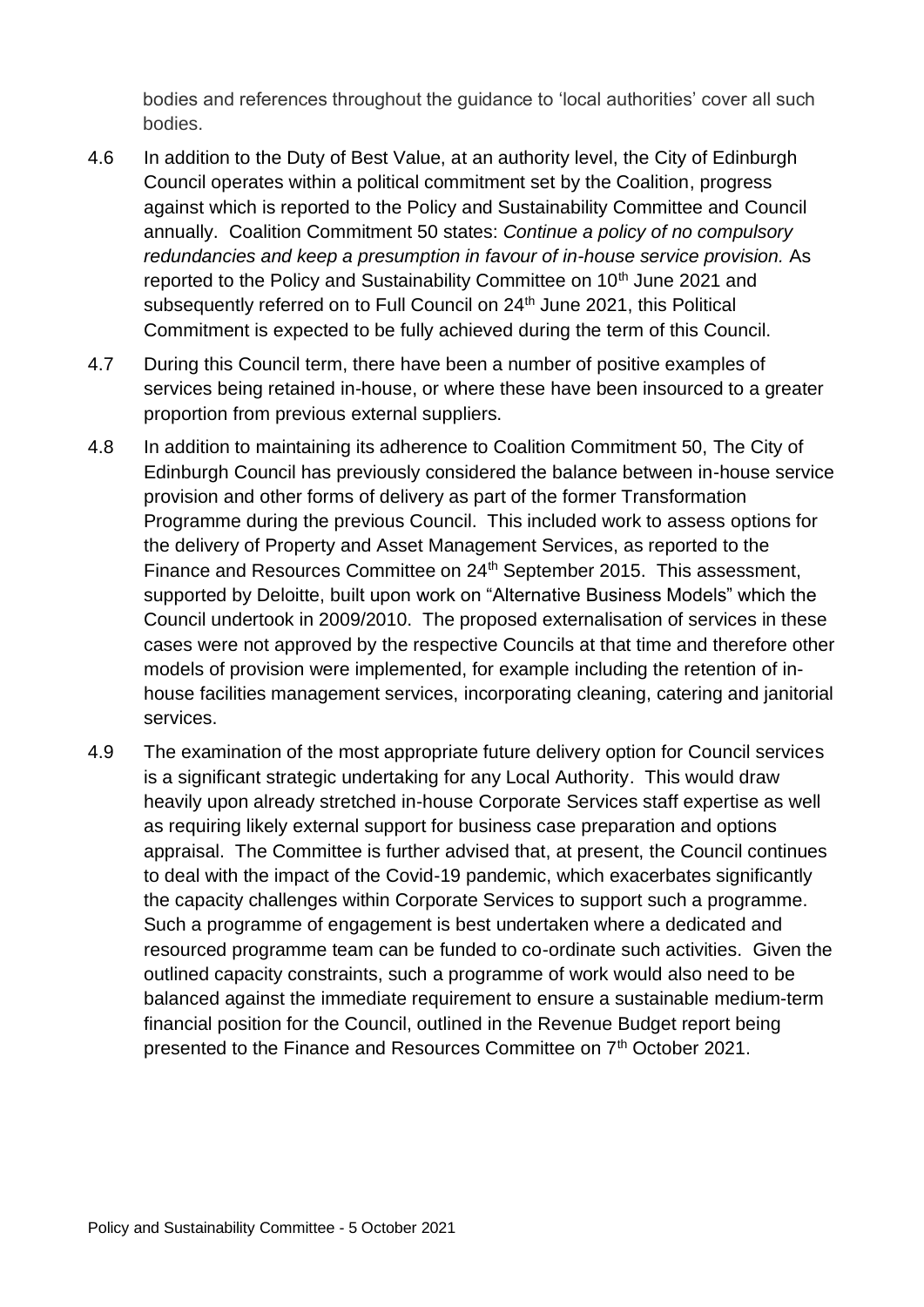bodies and references throughout the guidance to 'local authorities' cover all such bodies.

- 4.6 In addition to the Duty of Best Value, at an authority level, the City of Edinburgh Council operates within a political commitment set by the Coalition, progress against which is reported to the Policy and Sustainability Committee and Council annually. Coalition Commitment 50 states: *Continue a policy of no compulsory redundancies and keep a presumption in favour of in-house service provision.* As reported to the Policy and Sustainability Committee on 10<sup>th</sup> June 2021 and subsequently referred on to Full Council on  $24<sup>th</sup>$  June 2021, this Political Commitment is expected to be fully achieved during the term of this Council.
- 4.7 During this Council term, there have been a number of positive examples of services being retained in-house, or where these have been insourced to a greater proportion from previous external suppliers.
- 4.8 In addition to maintaining its adherence to Coalition Commitment 50, The City of Edinburgh Council has previously considered the balance between in-house service provision and other forms of delivery as part of the former Transformation Programme during the previous Council. This included work to assess options for the delivery of Property and Asset Management Services, as reported to the Finance and Resources Committee on 24<sup>th</sup> September 2015. This assessment, supported by Deloitte, built upon work on "Alternative Business Models" which the Council undertook in 2009/2010. The proposed externalisation of services in these cases were not approved by the respective Councils at that time and therefore other models of provision were implemented, for example including the retention of inhouse facilities management services, incorporating cleaning, catering and janitorial services.
- 4.9 The examination of the most appropriate future delivery option for Council services is a significant strategic undertaking for any Local Authority. This would draw heavily upon already stretched in-house Corporate Services staff expertise as well as requiring likely external support for business case preparation and options appraisal. The Committee is further advised that, at present, the Council continues to deal with the impact of the Covid-19 pandemic, which exacerbates significantly the capacity challenges within Corporate Services to support such a programme. Such a programme of engagement is best undertaken where a dedicated and resourced programme team can be funded to co-ordinate such activities. Given the outlined capacity constraints, such a programme of work would also need to be balanced against the immediate requirement to ensure a sustainable medium-term financial position for the Council, outlined in the Revenue Budget report being presented to the Finance and Resources Committee on 7<sup>th</sup> October 2021.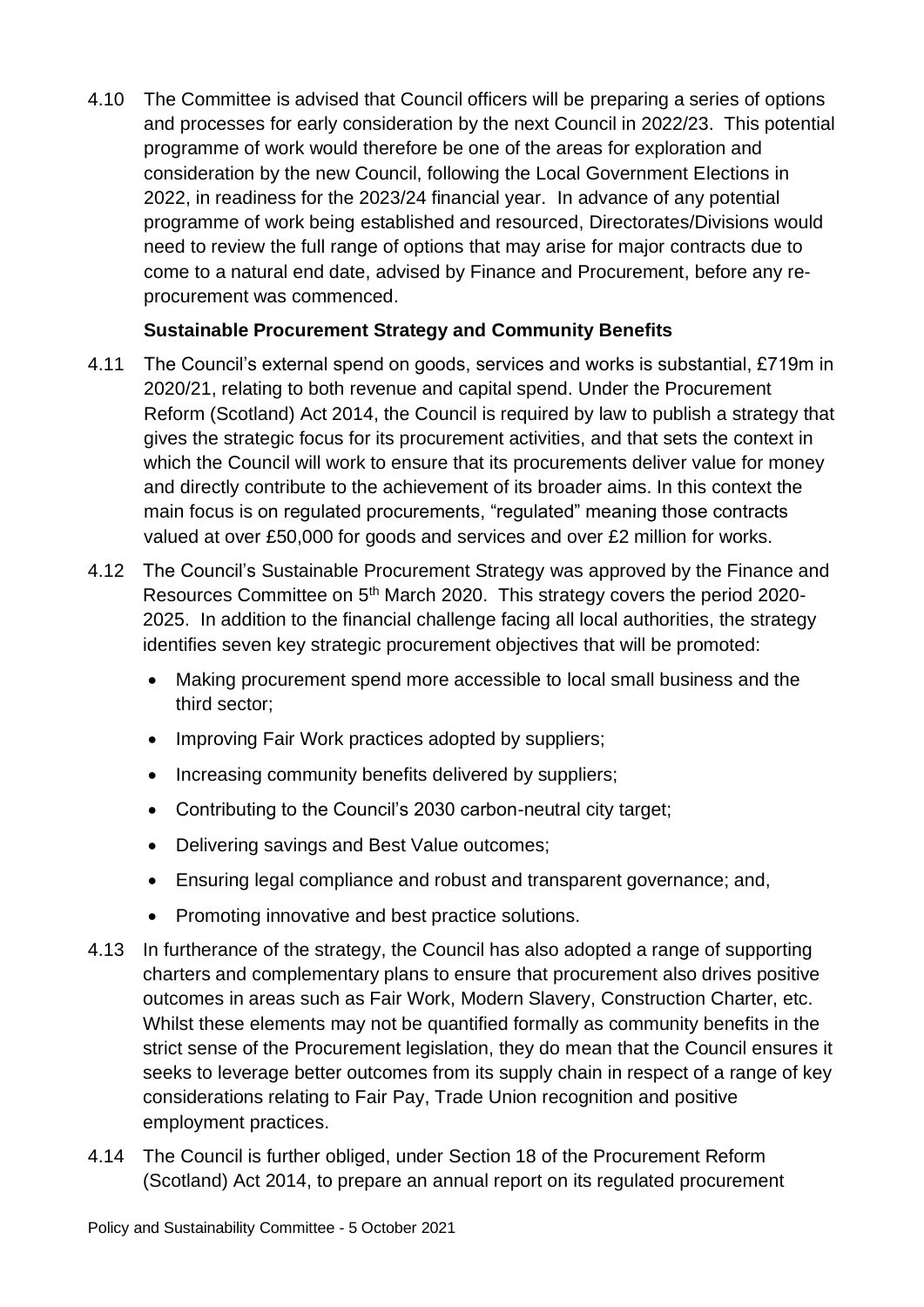4.10 The Committee is advised that Council officers will be preparing a series of options and processes for early consideration by the next Council in 2022/23. This potential programme of work would therefore be one of the areas for exploration and consideration by the new Council, following the Local Government Elections in 2022, in readiness for the 2023/24 financial year. In advance of any potential programme of work being established and resourced, Directorates/Divisions would need to review the full range of options that may arise for major contracts due to come to a natural end date, advised by Finance and Procurement, before any reprocurement was commenced.

#### **Sustainable Procurement Strategy and Community Benefits**

- 4.11 The Council's external spend on goods, services and works is substantial, £719m in 2020/21, relating to both revenue and capital spend. Under the Procurement Reform (Scotland) Act 2014, the Council is required by law to publish a strategy that gives the strategic focus for its procurement activities, and that sets the context in which the Council will work to ensure that its procurements deliver value for money and directly contribute to the achievement of its broader aims. In this context the main focus is on regulated procurements, "regulated" meaning those contracts valued at over £50,000 for goods and services and over £2 million for works.
- 4.12 The Council's Sustainable Procurement Strategy was approved by the Finance and Resources Committee on 5<sup>th</sup> March 2020. This strategy covers the period 2020-2025. In addition to the financial challenge facing all local authorities, the strategy identifies seven key strategic procurement objectives that will be promoted:
	- Making procurement spend more accessible to local small business and the third sector;
	- Improving Fair Work practices adopted by suppliers;
	- Increasing community benefits delivered by suppliers;
	- Contributing to the Council's 2030 carbon-neutral city target;
	- Delivering savings and Best Value outcomes;
	- Ensuring legal compliance and robust and transparent governance; and,
	- Promoting innovative and best practice solutions.
- 4.13 In furtherance of the strategy, the Council has also adopted a range of supporting charters and complementary plans to ensure that procurement also drives positive outcomes in areas such as Fair Work, Modern Slavery, Construction Charter, etc. Whilst these elements may not be quantified formally as community benefits in the strict sense of the Procurement legislation, they do mean that the Council ensures it seeks to leverage better outcomes from its supply chain in respect of a range of key considerations relating to Fair Pay, Trade Union recognition and positive employment practices.
- 4.14 The Council is further obliged, under Section 18 of the Procurement Reform (Scotland) Act 2014, to prepare an annual report on its regulated procurement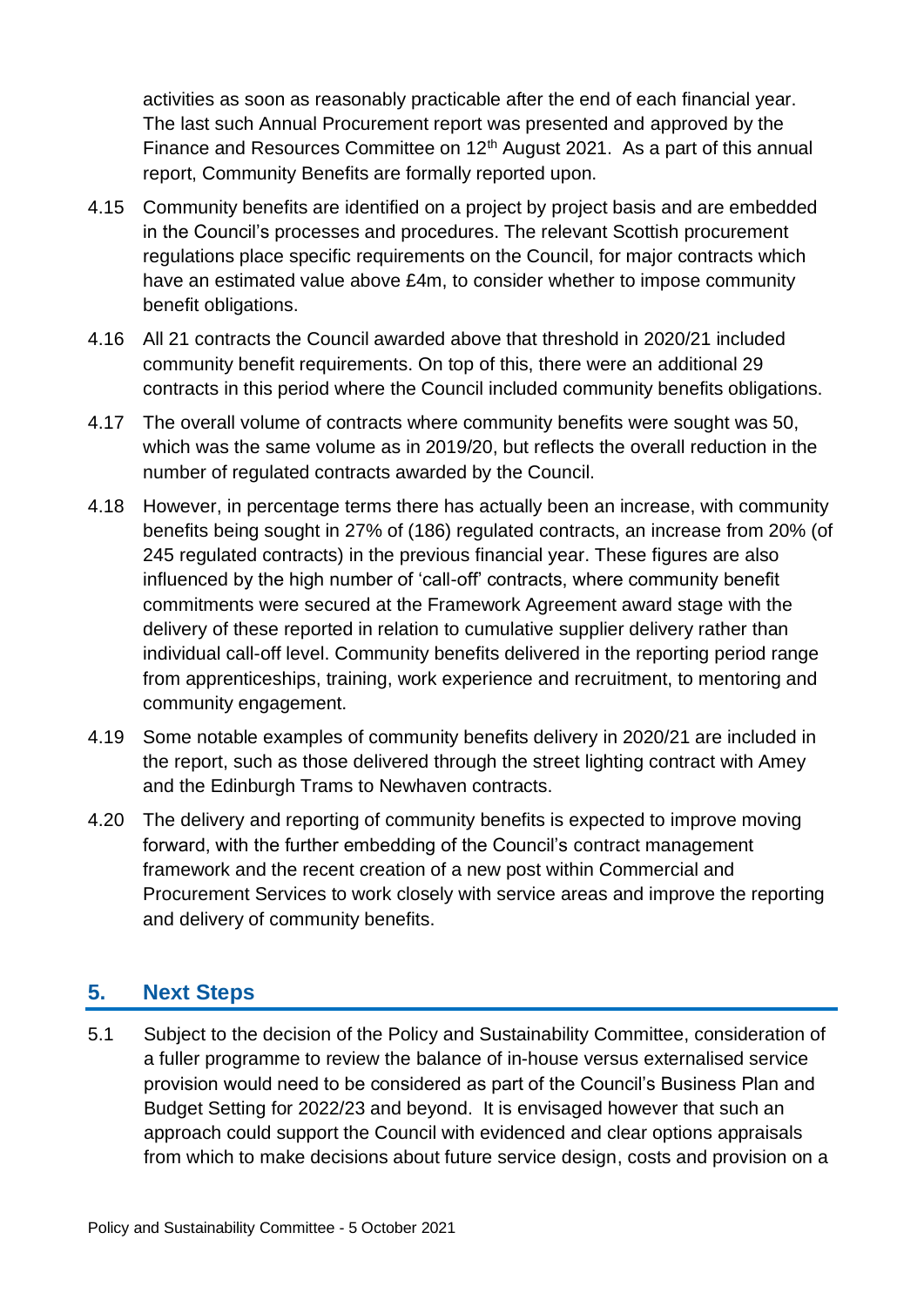activities as soon as reasonably practicable after the end of each financial year. The last such Annual Procurement report was presented and approved by the Finance and Resources Committee on 12<sup>th</sup> August 2021. As a part of this annual report, Community Benefits are formally reported upon.

- 4.15 Community benefits are identified on a project by project basis and are embedded in the Council's processes and procedures. The relevant Scottish procurement regulations place specific requirements on the Council, for major contracts which have an estimated value above £4m, to consider whether to impose community benefit obligations.
- 4.16 All 21 contracts the Council awarded above that threshold in 2020/21 included community benefit requirements. On top of this, there were an additional 29 contracts in this period where the Council included community benefits obligations.
- 4.17 The overall volume of contracts where community benefits were sought was 50, which was the same volume as in 2019/20, but reflects the overall reduction in the number of regulated contracts awarded by the Council.
- 4.18 However, in percentage terms there has actually been an increase, with community benefits being sought in 27% of (186) regulated contracts, an increase from 20% (of 245 regulated contracts) in the previous financial year. These figures are also influenced by the high number of 'call-off' contracts, where community benefit commitments were secured at the Framework Agreement award stage with the delivery of these reported in relation to cumulative supplier delivery rather than individual call-off level. Community benefits delivered in the reporting period range from apprenticeships, training, work experience and recruitment, to mentoring and community engagement.
- 4.19 Some notable examples of community benefits delivery in 2020/21 are included in the report, such as those delivered through the street lighting contract with Amey and the Edinburgh Trams to Newhaven contracts.
- 4.20 The delivery and reporting of community benefits is expected to improve moving forward, with the further embedding of the Council's contract management framework and the recent creation of a new post within Commercial and Procurement Services to work closely with service areas and improve the reporting and delivery of community benefits.

#### **5. Next Steps**

5.1 Subject to the decision of the Policy and Sustainability Committee, consideration of a fuller programme to review the balance of in-house versus externalised service provision would need to be considered as part of the Council's Business Plan and Budget Setting for 2022/23 and beyond. It is envisaged however that such an approach could support the Council with evidenced and clear options appraisals from which to make decisions about future service design, costs and provision on a